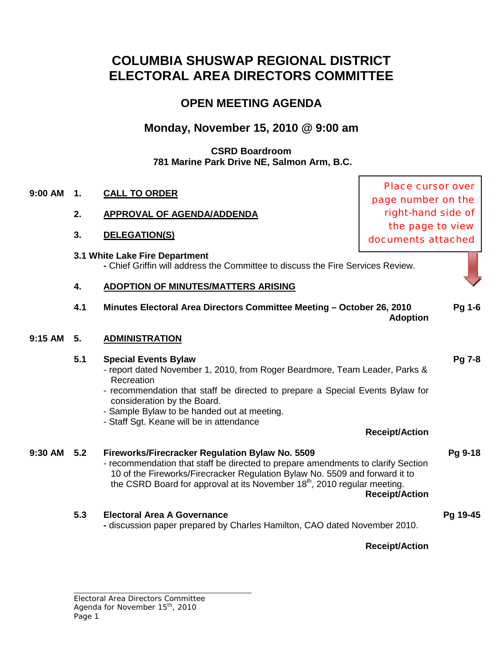## **COLUMBIA SHUSWAP REGIONAL DISTRICT ELECTORAL AREA DIRECTORS COMMITTEE**

## **OPEN MEETING AGENDA**

## **Monday, November 15, 2010 @ 9:00 am**

### **CSRD Boardroom 781 Marine Park Drive NE, Salmon Arm, B.C.**

## **9:00 AM 1. CALL TO ORDER**

- **2. APPROVAL OF AGENDA/ADDENDA**
- **3. DELEGATION(S)**
- **3.1 White Lake Fire Department**

**-** Chief Griffin will address the Committee to discuss the Fire Services Review.

## **4. ADOPTION OF MINUTES/MATTERS ARISING**

**4.1 Minutes Electoral Area Directors Committee Meeting – October 26, 2010 [Pg 1-6](http://csrd.civicweb.net/Documents/DocumentDisplay.aspx?ID=4330) Adoption**

## **9:15 AM 5. ADMINISTRATION**

## **5.1 Special Events Bylaw [Pg 7-8](http://csrd.civicweb.net/Documents/DocumentDisplay.aspx?ID=4331)**

- report dated November 1, 2010, from Roger Beardmore, Team Leader, Parks & Recreation
- recommendation that staff be directed to prepare a Special Events Bylaw for consideration by the Board.
- Sample Bylaw to be handed out at meeting.
- Staff Sgt. Keane will be in attendance

**Receipt/Action**

**9:30 AM 5.2 Fireworks/Firecracker Regulation Bylaw No. 5509 [Pg 9-18](http://csrd.civicweb.net/Documents/DocumentDisplay.aspx?ID=4339)** - recommendation that staff be directed to prepare amendments to clarify Section 10 of the Fireworks/Firecracker Regulation Bylaw No. 5509 and forward it to the CSRD Board for approval at its November 18<sup>th</sup>, 2010 regular meeting. **Receipt/Action**

## **5.3 Electoral Area A Governance [Pg 19-45](http://csrd.civicweb.net/Documents/DocumentDisplay.aspx?ID=4338)**

**-** discussion paper prepared by Charles Hamilton, CAO dated November 2010.

**Receipt/Action**

Place cursor over page number on the right-hand side of the page to view documents attached

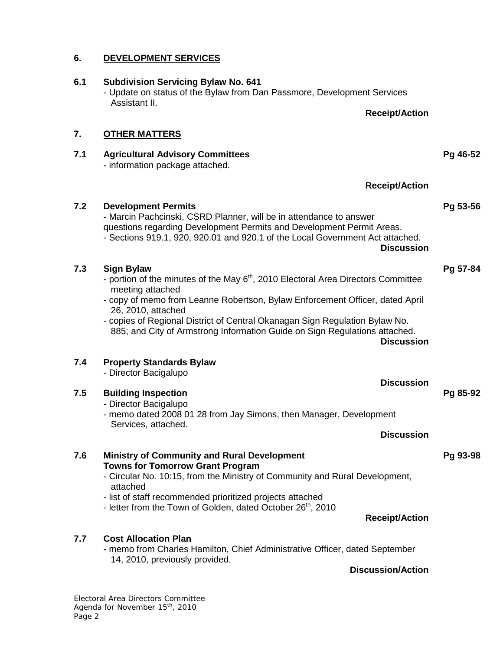## *Electoral Area Directors Committee Agenda for November 15th, 2010 Page 2* **Towns for Tomorrow Grant Program** - Circular No. 10:15, from the Ministry of Community and Rural Development, attached - list of staff recommended prioritized projects attached - letter from the Town of Golden, dated October 26<sup>th</sup>, 2010 **Receipt/Action 7.7 Cost Allocation Plan -** memo from Charles Hamilton, Chief Administrative Officer, dated September 14, 2010, previously provided. **Discussion/Action**

# **7.6 Ministry of Community and Rural Development [Pg 93-98](http://csrd.civicweb.net/Documents/DocumentDisplay.aspx?ID=4335)**

## - Director Bacigalupo - memo dated 2008 01 28 from Jay Simons, then Manager, Development

# Services, attached.

### **7.4 Property Standards Bylaw** - Director Bacigalupo

meeting attached - copy of memo from Leanne Robertson, Bylaw Enforcement Officer, dated April 26, 2010, attached

- copies of Regional District of Central Okanagan Sign Regulation Bylaw No. 885; and City of Armstrong Information Guide on Sign Regulations attached.

- portion of the minutes of the May  $6<sup>th</sup>$ , 2010 Electoral Area Directors Committee
- 
- 
- 
- **7.3 Sign Bylaw [Pg 57-84](http://csrd.civicweb.net/Documents/DocumentDisplay.aspx?ID=4334)**
- 

## **7.2 Development Permits [Pg 53-56](http://csrd.civicweb.net/Documents/DocumentDisplay.aspx?ID=4333) -** Marcin Pachcinski, CSRD Planner, will be in attendance to answer

**7. OTHER MATTERS**

- Update on status of the Bylaw from Dan Passmore, Development Services

- information package attached.

Assistant II.

# **6.1 Subdivision Servicing Bylaw No. 641**

## **6. DEVELOPMENT SERVICES**

**Receipt/Action**

**7.1 Agricultural Advisory Committees [Pg 46-52](http://csrd.civicweb.net/Documents/DocumentDisplay.aspx?ID=4332)**

**Receipt/Action**

questions regarding Development Permits and Development Permit Areas. - Sections 919.1, 920, 920.01 and 920.1 of the Local Government Act attached.

**Discussion**

**Discussion**

**Discussion**

**7.5 Building Inspection [Pg 85-92](http://csrd.civicweb.net/Documents/DocumentDisplay.aspx?ID=4340)**

**Discussion**